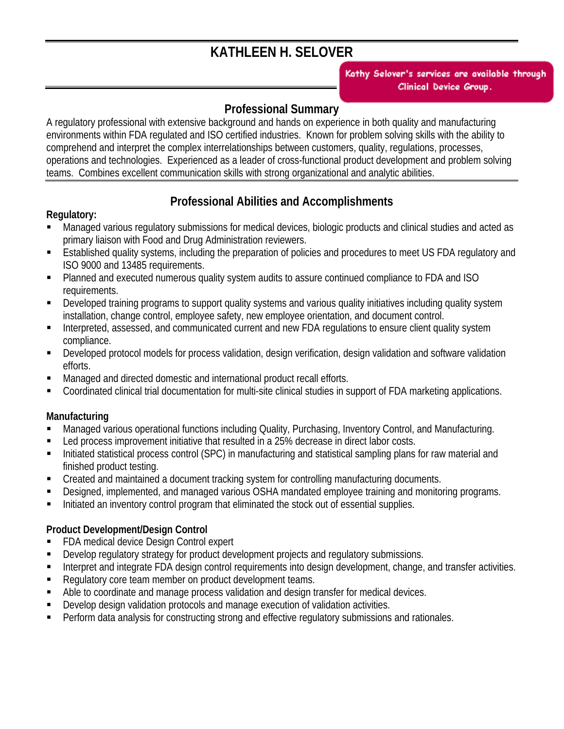# **KATHLEEN H. SELOVER**

*10749 Allen Road East Concord, NY [14055 USA](mailto:njstark@clinicaldevice.com?subject=Kathy_Selover)  (716) 592-7639 email: k.selover@att.net*  Clinical Device Group.

### **Professional Summary**

A regulatory professional with extensive background and hands on experience in both quality and manufacturing environments within FDA regulated and ISO certified industries. Known for problem solving skills with the ability to comprehend and interpret the complex interrelationships between customers, quality, regulations, processes, operations and technologies. Experienced as a leader of cross-functional product development and problem solving teams. Combines excellent communication skills with strong organizational and analytic abilities.

### **Professional Abilities and Accomplishments**

#### **Regulatory:**

- Managed various regulatory submissions for medical devices, biologic products and clinical studies and acted as primary liaison with Food and Drug Administration reviewers.
- **Established quality systems, including the preparation of policies and procedures to meet US FDA regulatory and** ISO 9000 and 13485 requirements.
- Planned and executed numerous quality system audits to assure continued compliance to FDA and ISO requirements.
- Developed training programs to support quality systems and various quality initiatives including quality system installation, change control, employee safety, new employee orientation, and document control.
- Interpreted, assessed, and communicated current and new FDA regulations to ensure client quality system compliance.
- Developed protocol models for process validation, design verification, design validation and software validation efforts.
- Managed and directed domestic and international product recall efforts.
- Coordinated clinical trial documentation for multi-site clinical studies in support of FDA marketing applications.

### **Manufacturing**

- Managed various operational functions including Quality, Purchasing, Inventory Control, and Manufacturing.
- Led process improvement initiative that resulted in a 25% decrease in direct labor costs.
- Initiated statistical process control (SPC) in manufacturing and statistical sampling plans for raw material and finished product testing.
- Created and maintained a document tracking system for controlling manufacturing documents.
- Designed, implemented, and managed various OSHA mandated employee training and monitoring programs.
- Initiated an inventory control program that eliminated the stock out of essential supplies.

### **Product Development/Design Control**

- FDA medical device Design Control expert
- Develop regulatory strategy for product development projects and regulatory submissions.
- Interpret and integrate FDA design control requirements into design development, change, and transfer activities.
- Requiatory core team member on product development teams.
- Able to coordinate and manage process validation and design transfer for medical devices.
- Develop design validation protocols and manage execution of validation activities.
- Perform data analysis for constructing strong and effective regulatory submissions and rationales.